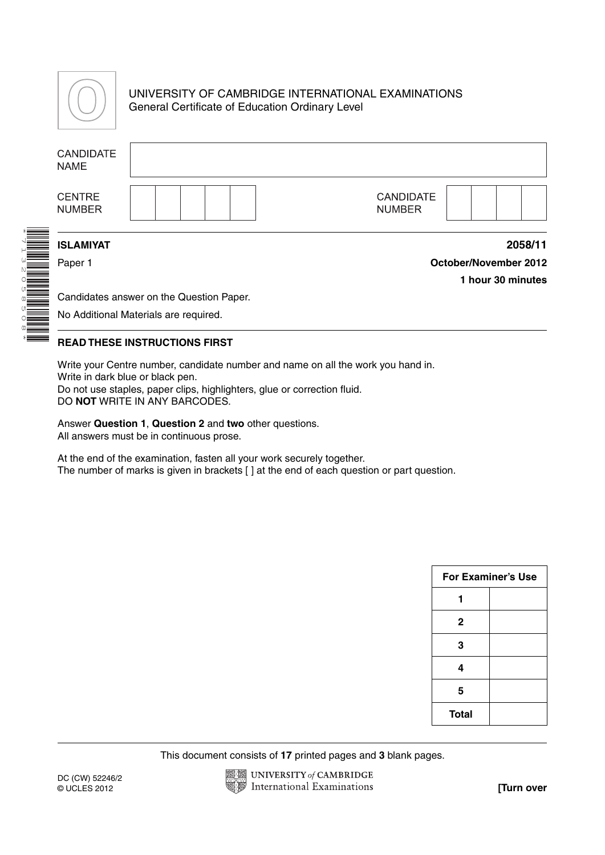

\*7132058508\*

UNIVERSITY OF CAMBRIDGE INTERNATIONAL EXAMINATIONS General Certificate of Education Ordinary Level

| <b>CANDIDATE</b><br><b>NAME</b>          |                                       |                              |  |
|------------------------------------------|---------------------------------------|------------------------------|--|
| <b>CENTRE</b><br><b>NUMBER</b>           | <b>CANDIDATE</b><br><b>NUMBER</b>     |                              |  |
| <b>ISLAMIYAT</b>                         |                                       | 2058/11                      |  |
| Paper 1                                  |                                       | <b>October/November 2012</b> |  |
|                                          |                                       | 1 hour 30 minutes            |  |
| Candidates answer on the Question Paper. |                                       |                              |  |
|                                          | No Additional Materials are required. |                              |  |

## **READ THESE INSTRUCTIONS FIRST**

Write your Centre number, candidate number and name on all the work you hand in. Write in dark blue or black pen. Do not use staples, paper clips, highlighters, glue or correction fluid.

DO **NOT** WRITE IN ANY BARCODES.

Answer **Question 1**, **Question 2** and **two** other questions. All answers must be in continuous prose.

At the end of the examination, fasten all your work securely together. The number of marks is given in brackets [ ] at the end of each question or part question.

| <b>For Examiner's Use</b> |  |  |
|---------------------------|--|--|
| 1                         |  |  |
| 2                         |  |  |
| 3                         |  |  |
| 4                         |  |  |
| 5                         |  |  |
| <b>Total</b>              |  |  |

This document consists of **17** printed pages and **3** blank pages.

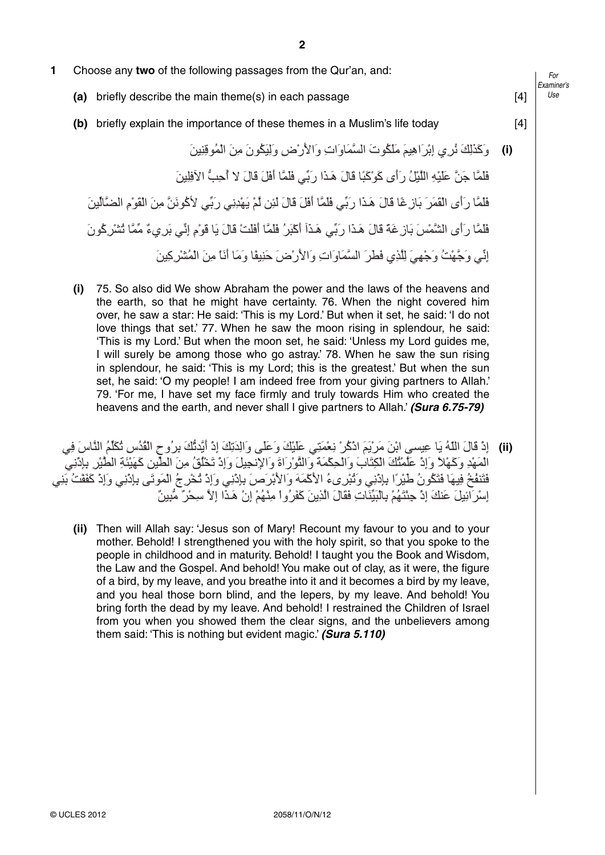## **1** Choose any **two** of the following passages from the Qur'an, and:

- **(a)** briefly describe the main theme(s) in each passage [4]
- **(b)** briefly explain the importance of these themes in a Muslim's life today [4]
	- **(i)** وَ كَذَلِكَ نُرِي إِبْرِ َاهِيمَ مَلْكُوتَ السَّمَاوَاتِ وَالأَرْضِ وَلِيَكُونَ مِنَ الْمُوقِنِينَ فَلَمَّا حَنَّ عَلْبُه الْلَّنْلُ رِ ٓأي كَوْ كَنَا قَالَ هَذَا رِ نِّي فَلَمَّا أَفَلَ قَالَ لا أُحِبُّ الآفلينَ فَلَمَّا رِأَى الْقَمَرَ بَازِغًا قَالَ هَذَا رَبِّي فَلَمَّا أَفَلَ قَالَ لَئِن لَمْ يَهْدِنِي رَبِّي لِأَكْونَنَّ مِنَ الْقَوْمِ الضَّالِّينَ فَلَمَّا رِ ٓأي الشَّمْسَ يَازِ غَهٌ قَالَ هَذَا رِيِّي هَذَآ أَكْبَرُ ۗ فَلَمَّا أَفَلَتْ قَالَ يَا قَوْمِ إِنِّي بَرِيءٌ مِّمَّا تُشْرِكُونَ اِنِّي وَجَّهْتُ وَجْهِيَ لِلَّذِي فَطْرَ الْسَّعَاوَاتِ وَالأَرْضِ جَنِبِفَا وِمَا أَنَا مِنَ الْمُشْرِ كِبِنَ
- **(i)** 75. So also did We show Abraham the power and the laws of the heavens and the earth, so that he might have certainty. 76. When the night covered him over, he saw a star: He said: 'This is my Lord.' But when it set, he said: 'I do not love things that set.' 77. When he saw the moon rising in splendour, he said: 'This is my Lord.' But when the moon set, he said: 'Unless my Lord guides me, I will surely be among those who go astray.' 78. When he saw the sun rising in splendour, he said: 'This is my Lord; this is the greatest.' But when the sun set, he said: 'O my people! I am indeed free from your giving partners to Allah.' 79. 'For me, I have set my face firmly and truly towards Him who created the heavens and the earth, and never shall I give partners to Allah.' *(Sura 6.75-79)*
- (ii) إِدْ قَالَ اللّهُ يَا عِيسى ابْنَ مَرْيَمَ ادْكُرْ نِعْمَتِي عَلَيْكَ وَعَلّى وَالِدَتِكَ إِدْ أَيَّدثَكَ بِرُوحِ الْقُدُسِ تُكَلِّمُ النَّاسَ فِي أمَمْدِ وَكَمْلاً وَإِذْ عَلَمْتُكَ الْكِتَابَ وَالْحِكْمَةَ وَالتَّوْرُ اةَ والانحِلِلَ وَإِذْ تَخْلُقُ مِنَ الطِّين كَهَيْئَةِ الطَّبْرِ بِإِذْنِي فَتَنفُخُ فِيهَا فَتَكْونُ طَيْرًا بِإِدْنِي وَتُبْرِىءُ الأَكْمَهَ وَالأَبْرَصَ بِإِدْنِي وَإِدْ أَخْرِجُ المَوتَى بِإِدْنِي وَإِدْ كَفَفْتُ بَنِي ِّ اسْرَ انْفِلَ عَنْكَ إِذْ جِئْتَهُمْ بِالْنَبِّئَاتِ فَقَالَ الَّذِينَ كَفَرٍ و<sup>َ</sup>ا مِذْهُمْ إِنْ هَذَّا إِلاَّ سِحْرٌ مُّبِينٌ
	- **(ii)** Then will Allah say: 'Jesus son of Mary! Recount my favour to you and to your mother. Behold! I strengthened you with the holy spirit, so that you spoke to the people in childhood and in maturity. Behold! I taught you the Book and Wisdom, the Law and the Gospel. And behold! You make out of clay, as it were, the figure of a bird, by my leave, and you breathe into it and it becomes a bird by my leave, and you heal those born blind, and the lepers, by my leave. And behold! You bring forth the dead by my leave. And behold! I restrained the Children of Israel from you when you showed them the clear signs, and the unbelievers among them said: 'This is nothing but evident magic.' *(Sura 5.110)*

#### *For Examiner's Use*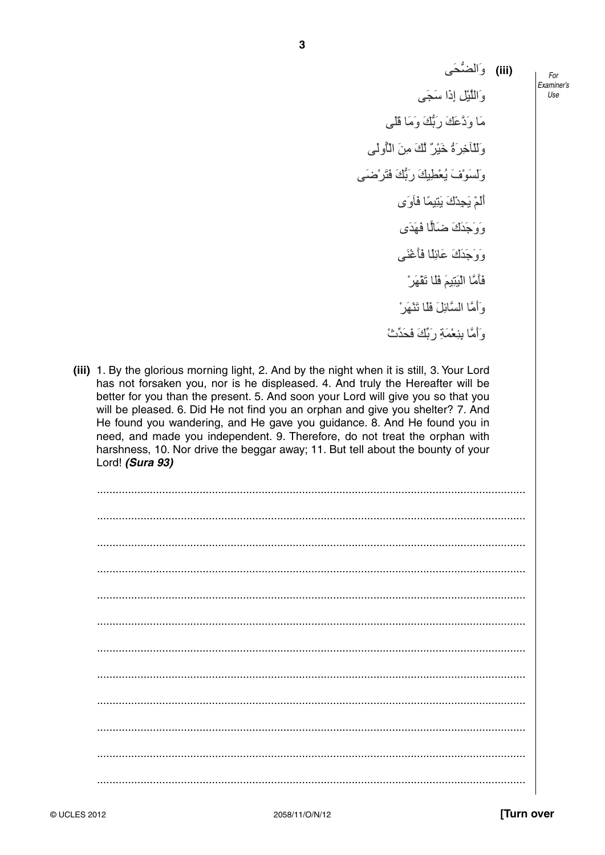# (iii) وَالضُّحَى وَاللَّيْلِ إِذَا سَجَى مَا وَدَّعَكَ رَبُّكَ وَمَا قَلْي وَلَلْأَخِرَةُ خَيْرٌ لَكَ مِنَ الْأُولَى وَلِّسَوْفَ بُعْطِيكَ رَبُّكَ فَتَرْ صْنَى أَلَمْ بَجِدْكَ بَتِبِمًا فَآوَى وَوَ حَدَكَ ضَبَالًا فَهَدَى وَوَجَدَكَ عَائِلًا فَأَغْنَى فَأَمَّا الْبَتِيمَ فَلَا تَقْهَر وَأَمَّا الْسَّائِلَ فَلَا تَنْهَرَ

وَأَمَّا بِنِعْمَةِ رَبِّكَ فَحَدِّثْ

(iii) 1. By the glorious morning light, 2. And by the night when it is still, 3. Your Lord has not forsaken you, nor is he displeased. 4. And truly the Hereafter will be better for you than the present. 5. And soon your Lord will give you so that you will be pleased. 6. Did He not find you an orphan and give you shelter? 7. And He found you wandering, and He gave you guidance. 8. And He found you in need, and made you independent. 9. Therefore, do not treat the orphan with harshness, 10. Nor drive the beggar away; 11. But tell about the bounty of your

 $\overline{3}$ 

 $For$ Examiner's Use

Lord! (Sura 93)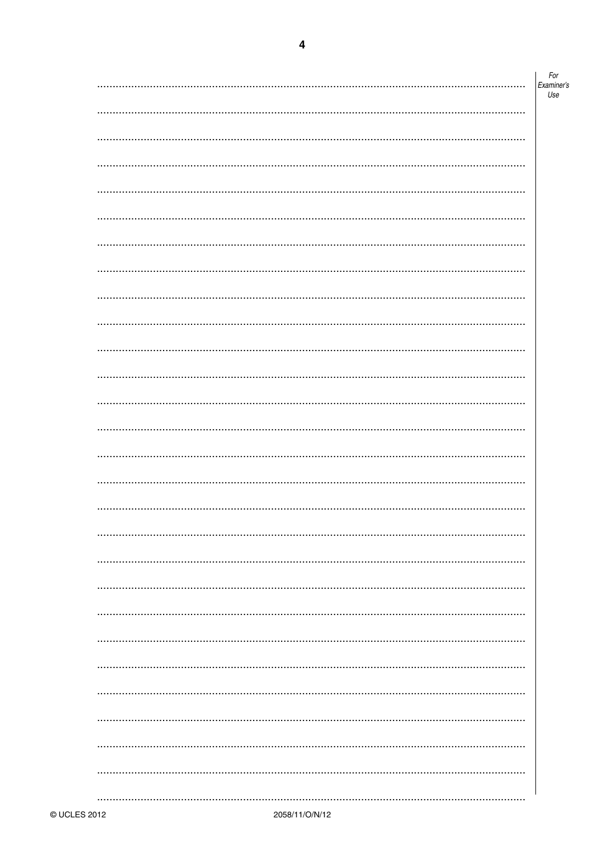| For        |
|------------|
| xaminer's: |
| Use        |

|             | E. |
|-------------|----|
| $\sim 0.01$ |    |
|             |    |
|             |    |
|             |    |
|             |    |
|             |    |
|             |    |
|             |    |
|             |    |
|             |    |
|             |    |
|             |    |
|             |    |
|             |    |
|             |    |
|             |    |
|             |    |
|             |    |
|             |    |
|             |    |
|             |    |
|             |    |
|             |    |
|             |    |
| .<br>       |    |
|             |    |

 $\overline{\mathbf{4}}$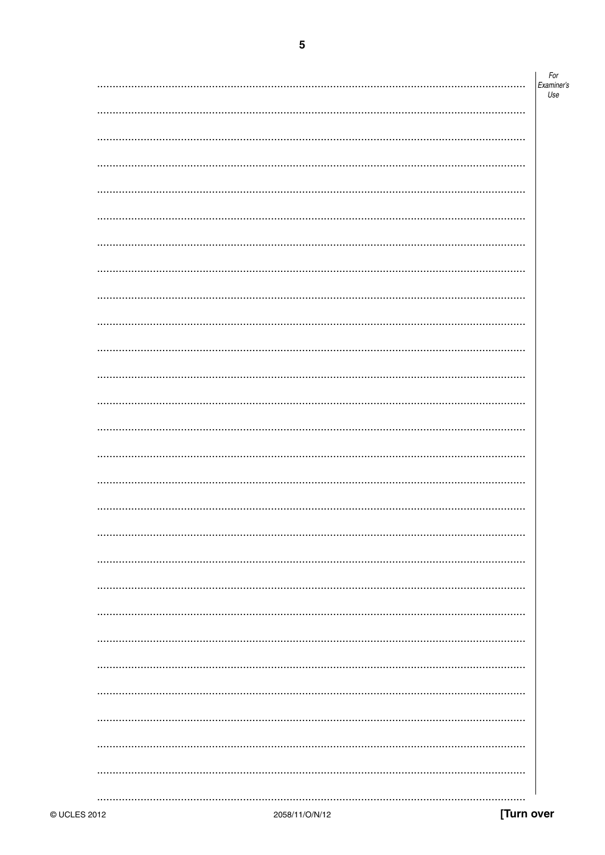| For        |
|------------|
| xaminer's: |
| Use        |

|          | E. |
|----------|----|
|          |    |
|          |    |
|          |    |
| $\cdots$ |    |
|          |    |
| $\cdots$ |    |
|          |    |
| $\cdots$ |    |
| $\cdots$ |    |
|          |    |
|          |    |
| $\cdots$ |    |
|          |    |
|          |    |
|          |    |
|          |    |
|          |    |
|          |    |
|          |    |
|          |    |
| .<br>    |    |
| .        |    |
|          |    |
| $\cdots$ |    |
|          |    |
|          |    |
|          |    |

 $\overline{\mathbf{5}}$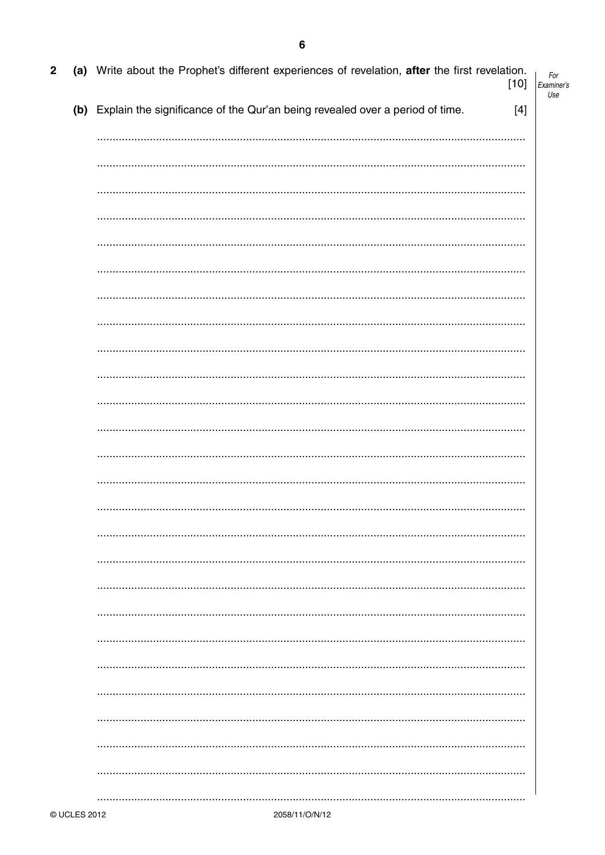| $\mathbf{2}$ | (a) Write about the Prophet's different experiences of revelation, after the first revelation. | For<br>$[10]$<br>Examiner's<br>Use |
|--------------|------------------------------------------------------------------------------------------------|------------------------------------|
|              | (b) Explain the significance of the Qur'an being revealed over a period of time.               | $[4]$                              |
|              |                                                                                                |                                    |
|              |                                                                                                |                                    |
|              |                                                                                                |                                    |
|              |                                                                                                |                                    |
|              |                                                                                                |                                    |
|              |                                                                                                |                                    |
|              |                                                                                                |                                    |
|              |                                                                                                |                                    |
|              |                                                                                                |                                    |
|              |                                                                                                |                                    |
|              |                                                                                                |                                    |
|              |                                                                                                |                                    |
|              |                                                                                                |                                    |
|              |                                                                                                |                                    |
|              |                                                                                                |                                    |
|              |                                                                                                |                                    |
|              |                                                                                                |                                    |
|              |                                                                                                |                                    |
|              |                                                                                                |                                    |
|              |                                                                                                |                                    |
|              |                                                                                                |                                    |
|              |                                                                                                |                                    |
|              |                                                                                                |                                    |
|              |                                                                                                |                                    |

 $\bf 6$ 

2058/11/O/N/12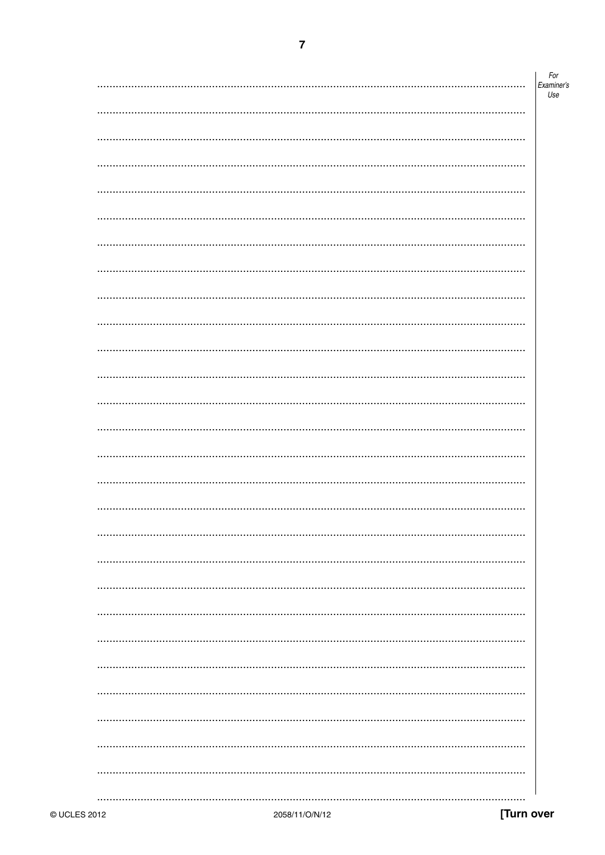| For       |
|-----------|
| xaminer's |
| Use       |

|          | E. |
|----------|----|
| $\cdots$ |    |
|          |    |
|          |    |
|          |    |
|          |    |
|          |    |
|          |    |
|          |    |
|          |    |
|          |    |
|          |    |
|          |    |
|          |    |
|          |    |
|          |    |
|          |    |
|          |    |
|          |    |
|          |    |
|          |    |
|          |    |
|          |    |
|          |    |
|          |    |
|          |    |
|          |    |
|          |    |

 $\overline{7}$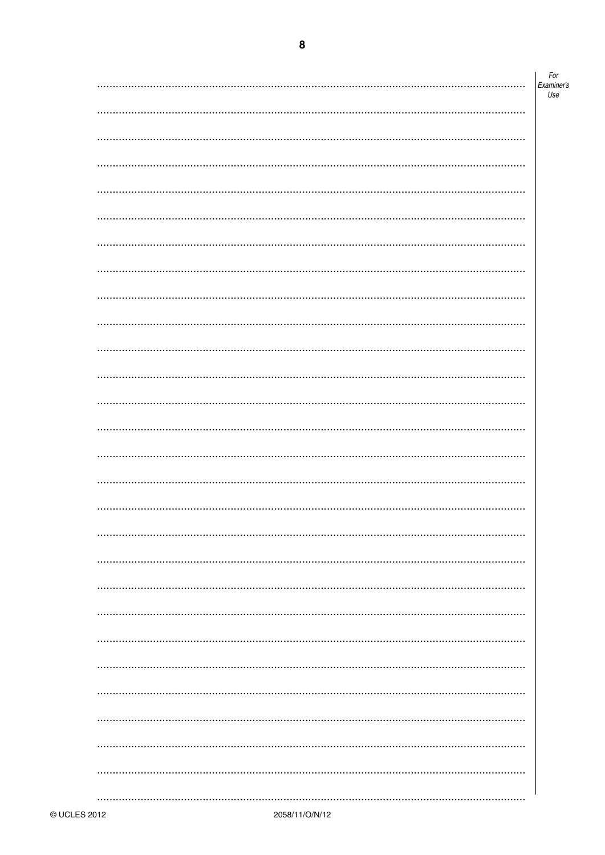| For        |
|------------|
| -xaminer's |
| Use        |

|          | E. |
|----------|----|
|          |    |
|          |    |
|          |    |
|          |    |
|          |    |
|          |    |
|          |    |
| $\cdots$ |    |
| $\cdots$ |    |
|          |    |
|          |    |
| $\cdots$ |    |
|          |    |
|          |    |
|          |    |
|          |    |
|          |    |
|          |    |
|          |    |
|          |    |
|          |    |
|          |    |
| $\cdots$ |    |
|          |    |
| <br>     |    |
|          |    |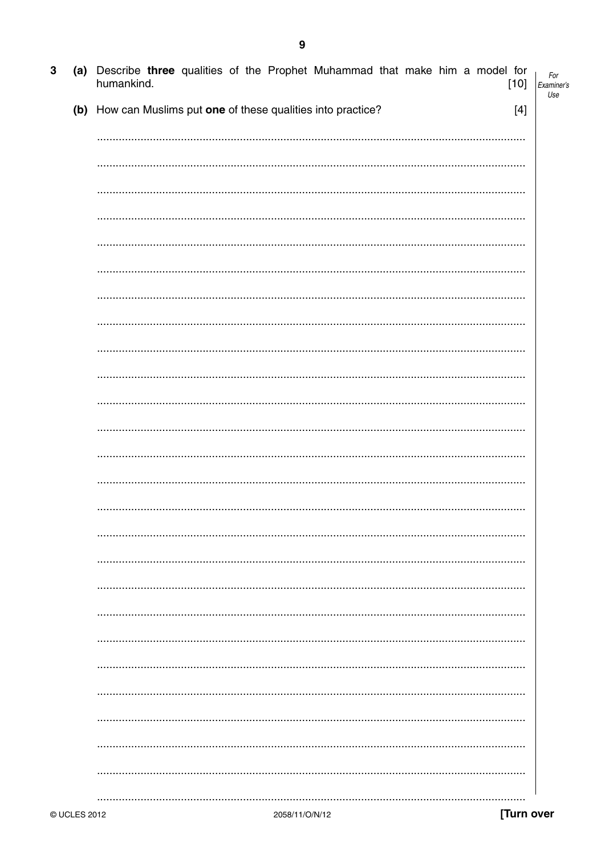| 3 | (a) Describe three qualities of the Prophet Muhammad that make him a model for<br>humankind.<br>$[10]$<br>Examiner's<br>Use |
|---|-----------------------------------------------------------------------------------------------------------------------------|
|   | (b) How can Muslims put one of these qualities into practice?<br>$[4]$                                                      |
|   |                                                                                                                             |
|   |                                                                                                                             |
|   |                                                                                                                             |
|   |                                                                                                                             |
|   |                                                                                                                             |
|   |                                                                                                                             |
|   |                                                                                                                             |
|   |                                                                                                                             |
|   |                                                                                                                             |
|   |                                                                                                                             |
|   |                                                                                                                             |
|   |                                                                                                                             |
|   |                                                                                                                             |
|   |                                                                                                                             |
|   |                                                                                                                             |
|   |                                                                                                                             |
|   |                                                                                                                             |
|   |                                                                                                                             |
|   |                                                                                                                             |
|   |                                                                                                                             |
|   |                                                                                                                             |
|   |                                                                                                                             |
|   |                                                                                                                             |
|   |                                                                                                                             |
|   |                                                                                                                             |

2058/11/O/N/12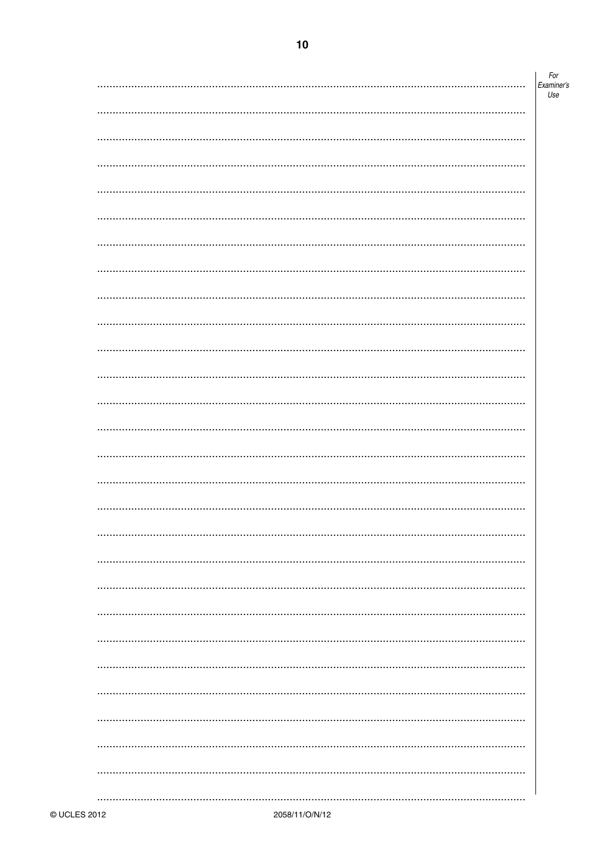| For        |
|------------|
| Examiner's |
| Use        |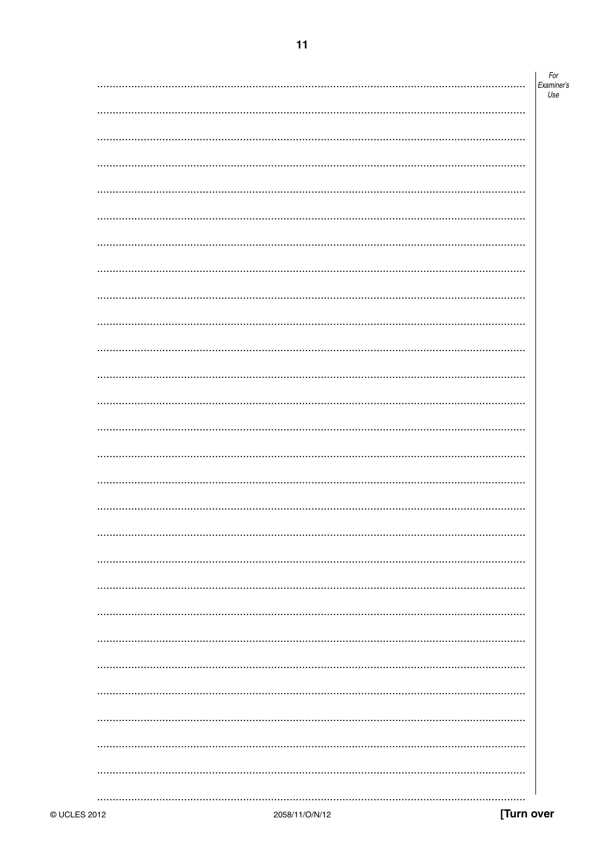| For               |
|-------------------|
| <i>Examiner's</i> |
| Use               |

|          | E. |
|----------|----|
|          |    |
| $\cdots$ |    |
|          |    |
|          |    |
|          |    |
|          |    |
|          |    |
|          |    |
|          |    |
|          |    |
|          |    |
|          |    |
|          |    |
|          |    |
|          |    |
|          |    |
|          |    |
|          |    |
|          |    |
|          |    |
|          |    |
|          |    |
|          |    |
|          |    |
|          |    |
|          |    |
| .        |    |
|          |    |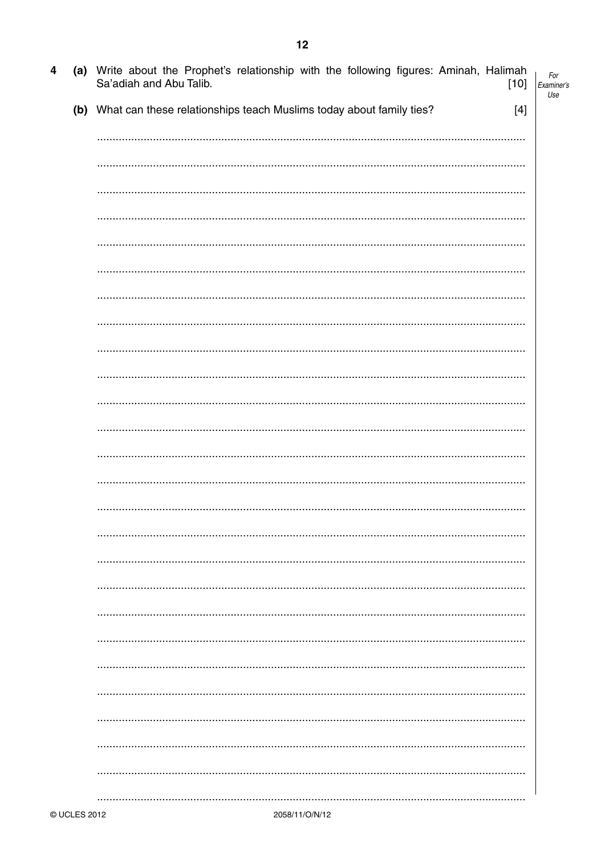| 4 | (a) Write about the Prophet's relationship with the following figures: Aminah, Halimah<br>Sa'adiah and Abu Talib.<br>$[10]$ | For<br>Examiner's |
|---|-----------------------------------------------------------------------------------------------------------------------------|-------------------|
|   | (b) What can these relationships teach Muslims today about family ties?<br>$[4]$                                            | Use               |
|   |                                                                                                                             |                   |
|   |                                                                                                                             |                   |
|   |                                                                                                                             |                   |
|   |                                                                                                                             |                   |
|   |                                                                                                                             |                   |
|   |                                                                                                                             |                   |
|   |                                                                                                                             |                   |
|   |                                                                                                                             |                   |
|   |                                                                                                                             |                   |
|   |                                                                                                                             |                   |
|   |                                                                                                                             |                   |
|   |                                                                                                                             |                   |
|   |                                                                                                                             |                   |
|   |                                                                                                                             |                   |
|   |                                                                                                                             |                   |
|   |                                                                                                                             |                   |
|   |                                                                                                                             |                   |
|   |                                                                                                                             |                   |
|   |                                                                                                                             |                   |
|   |                                                                                                                             |                   |
|   |                                                                                                                             |                   |
|   |                                                                                                                             |                   |
|   |                                                                                                                             |                   |
|   |                                                                                                                             |                   |
|   |                                                                                                                             |                   |

2058/11/O/N/12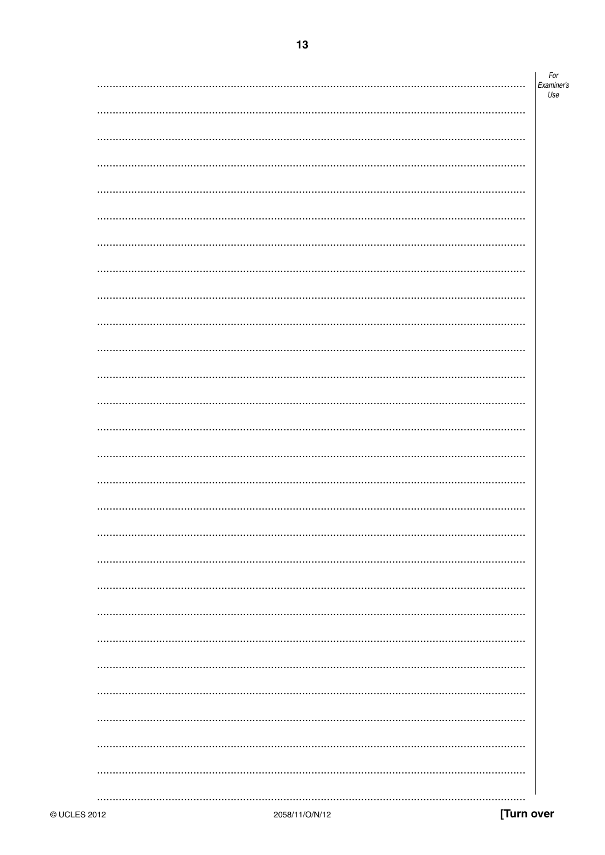$|$  For Examiner's<br>Use

| . |  |
|---|--|
|   |  |
|   |  |
|   |  |
|   |  |
|   |  |
|   |  |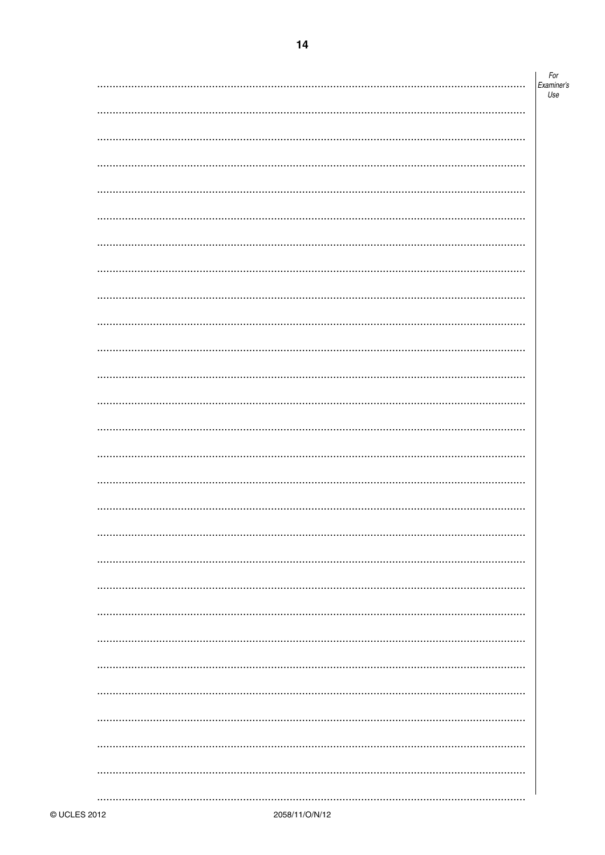| For        |
|------------|
| Examiner's |
| Use        |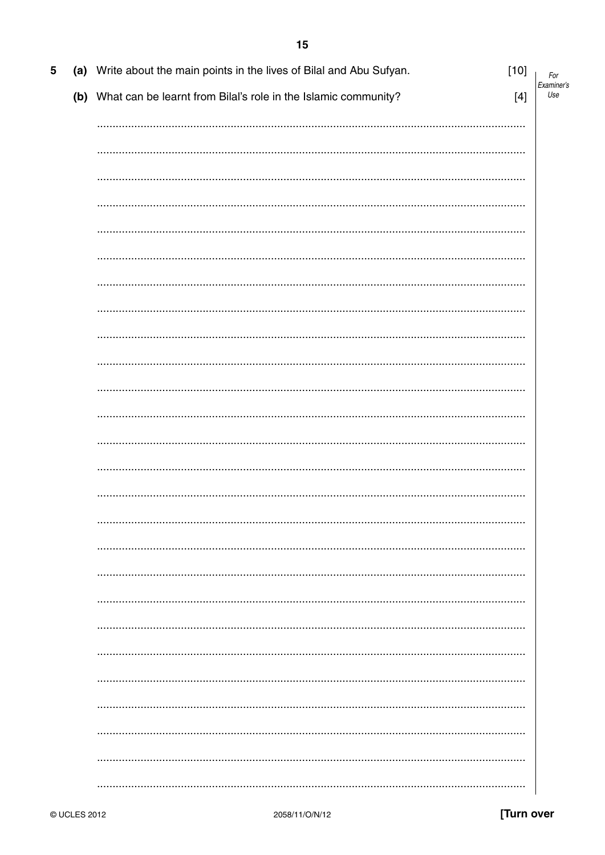| $\sqrt{5}$ | (a) Write about the main points in the lives of Bilal and Abu Sufyan. | $[10]$ | For<br>Examiner's |
|------------|-----------------------------------------------------------------------|--------|-------------------|
|            | (b) What can be learnt from Bilal's role in the Islamic community?    | $[4]$  | Use               |
|            |                                                                       |        |                   |
|            |                                                                       |        |                   |
|            |                                                                       |        |                   |
|            |                                                                       |        |                   |
|            |                                                                       |        |                   |
|            |                                                                       |        |                   |
|            |                                                                       |        |                   |
|            |                                                                       |        |                   |
|            |                                                                       |        |                   |
|            |                                                                       |        |                   |
|            |                                                                       |        |                   |
|            |                                                                       |        |                   |
|            |                                                                       |        |                   |
|            |                                                                       |        |                   |
|            |                                                                       |        |                   |
|            |                                                                       |        |                   |
|            |                                                                       |        |                   |
|            |                                                                       |        |                   |
|            |                                                                       |        |                   |
|            | .                                                                     |        |                   |
|            |                                                                       |        |                   |
|            |                                                                       |        |                   |
|            |                                                                       |        |                   |
|            |                                                                       |        |                   |
|            |                                                                       |        |                   |
|            |                                                                       |        |                   |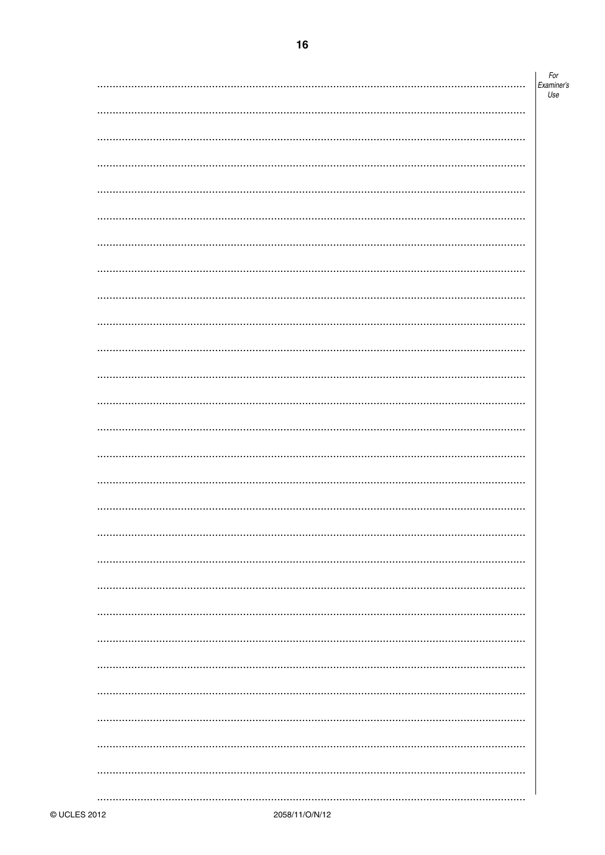For<br>Examiner's<br>Use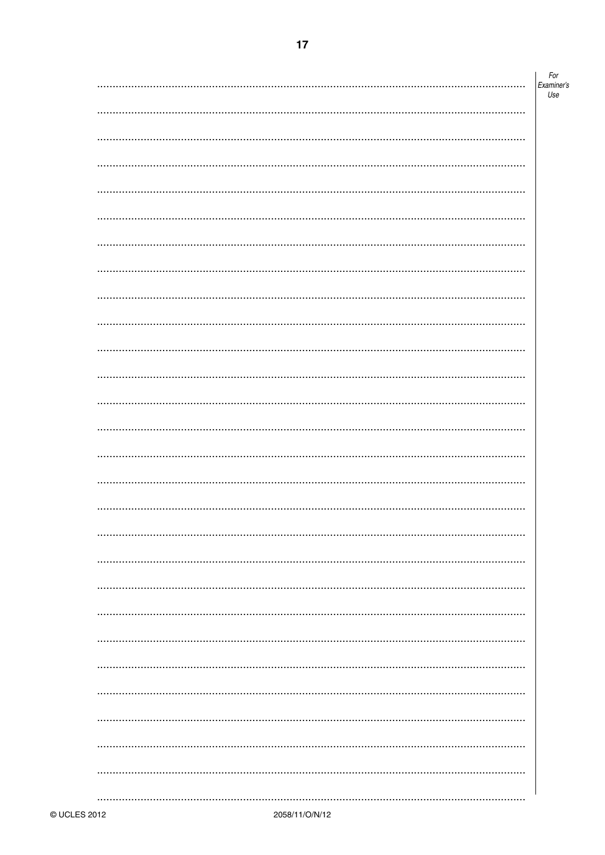| For        |
|------------|
| Examiner's |
| Use        |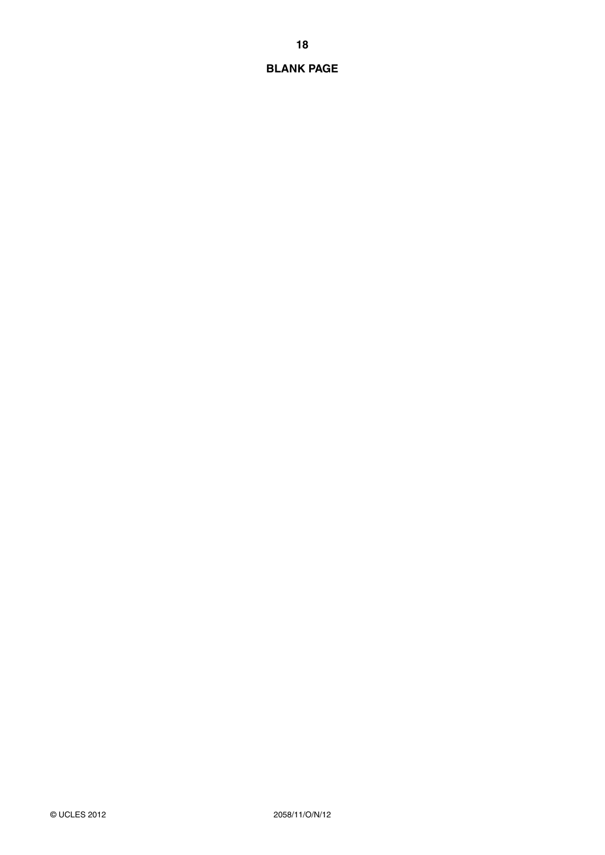# **BLANK PAGE**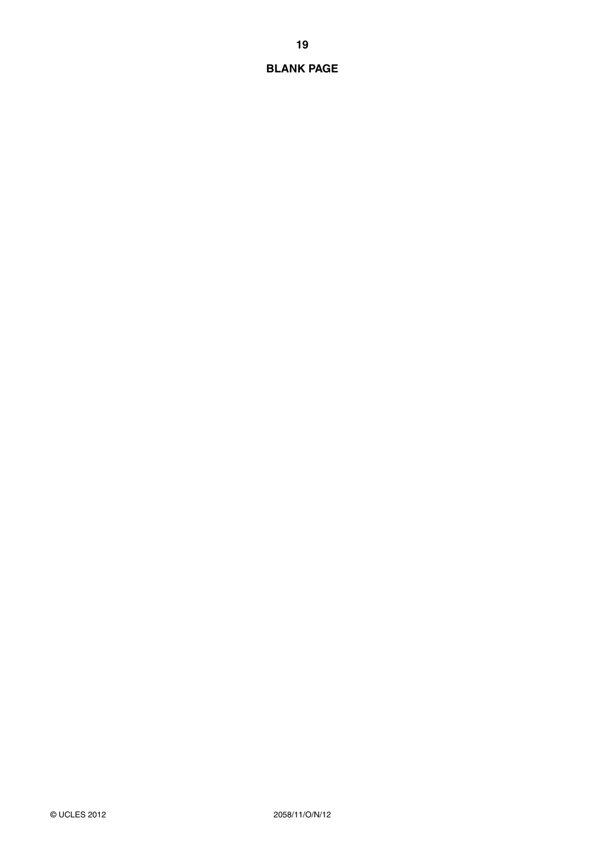# **BLANK PAGE**